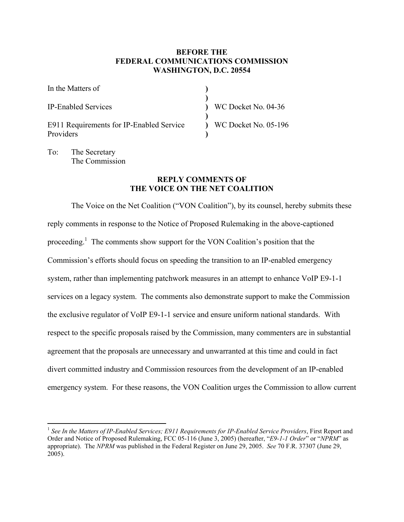# **BEFORE THE FEDERAL COMMUNICATIONS COMMISSION WASHINGTON, D.C. 20554**

| In the Matters of                                     |                                 |
|-------------------------------------------------------|---------------------------------|
| <b>IP-Enabled Services</b>                            | WC Docket No. 04-36             |
| E911 Requirements for IP-Enabled Service<br>Providers | $\sqrt{2}$ WC Docket No. 05-196 |

To: The Secretary The Commission

## **REPLY COMMENTS OF THE VOICE ON THE NET COALITION**

The Voice on the Net Coalition ("VON Coalition"), by its counsel, hereby submits these reply comments in response to the Notice of Proposed Rulemaking in the above-captioned proceeding.<sup>1</sup> The comments show support for the VON Coalition's position that the Commission's efforts should focus on speeding the transition to an IP-enabled emergency system, rather than implementing patchwork measures in an attempt to enhance VoIP E9-1-1 services on a legacy system. The comments also demonstrate support to make the Commission the exclusive regulator of VoIP E9-1-1 service and ensure uniform national standards. With respect to the specific proposals raised by the Commission, many commenters are in substantial agreement that the proposals are unnecessary and unwarranted at this time and could in fact divert committed industry and Commission resources from the development of an IP-enabled emergency system. For these reasons, the VON Coalition urges the Commission to allow current

 $\overline{a}$ <sup>1</sup> *See In the Matters of IP-Enabled Services; E911 Requirements for IP-Enabled Service Providers*, First Report and Order and Notice of Proposed Rulemaking, FCC 05-116 (June 3, 2005) (hereafter, "*E9-1-1 Order*" or "*NPRM*" as appropriate). The *NPRM* was published in the Federal Register on June 29, 2005. *See* 70 F.R. 37307 (June 29, 2005).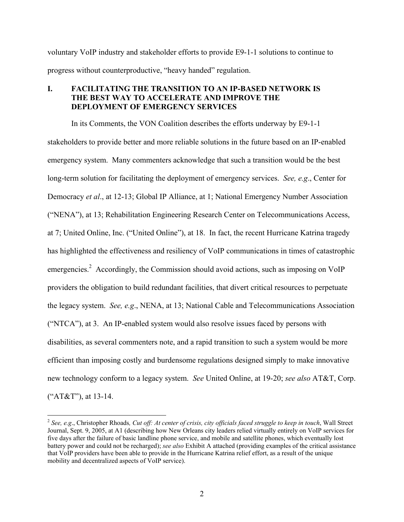voluntary VoIP industry and stakeholder efforts to provide E9-1-1 solutions to continue to progress without counterproductive, "heavy handed" regulation.

# **I. FACILITATING THE TRANSITION TO AN IP-BASED NETWORK IS THE BEST WAY TO ACCELERATE AND IMPROVE THE DEPLOYMENT OF EMERGENCY SERVICES**

In its Comments, the VON Coalition describes the efforts underway by E9-1-1 stakeholders to provide better and more reliable solutions in the future based on an IP-enabled emergency system. Many commenters acknowledge that such a transition would be the best long-term solution for facilitating the deployment of emergency services. *See, e.g*., Center for Democracy *et al*., at 12-13; Global IP Alliance, at 1; National Emergency Number Association ("NENA"), at 13; Rehabilitation Engineering Research Center on Telecommunications Access, at 7; United Online, Inc. ("United Online"), at 18. In fact, the recent Hurricane Katrina tragedy has highlighted the effectiveness and resiliency of VoIP communications in times of catastrophic emergencies.<sup>2</sup> Accordingly, the Commission should avoid actions, such as imposing on VoIP providers the obligation to build redundant facilities, that divert critical resources to perpetuate the legacy system. *See, e.g*., NENA, at 13; National Cable and Telecommunications Association ("NTCA"), at 3. An IP-enabled system would also resolve issues faced by persons with disabilities, as several commenters note, and a rapid transition to such a system would be more efficient than imposing costly and burdensome regulations designed simply to make innovative new technology conform to a legacy system. *See* United Online, at 19-20; *see also* AT&T, Corp. ("AT&T"), at 13-14.

<sup>2</sup> *See, e.g*., Christopher Rhoads*, Cut off: At center of crisis, city officials faced struggle to keep in touch*, Wall Street Journal, Sept. 9, 2005, at A1 (describing how New Orleans city leaders relied virtually entirely on VoIP services for five days after the failure of basic landline phone service, and mobile and satellite phones, which eventually lost battery power and could not be recharged); *see also* Exhibit A attached (providing examples of the critical assistance that VoIP providers have been able to provide in the Hurricane Katrina relief effort, as a result of the unique mobility and decentralized aspects of VoIP service).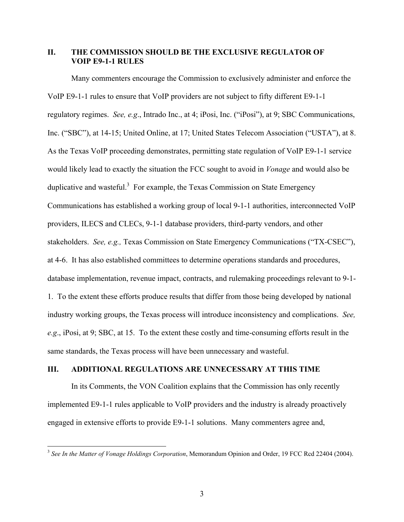## **II. THE COMMISSION SHOULD BE THE EXCLUSIVE REGULATOR OF VOIP E9-1-1 RULES**

Many commenters encourage the Commission to exclusively administer and enforce the VoIP E9-1-1 rules to ensure that VoIP providers are not subject to fifty different E9-1-1 regulatory regimes. *See, e.g*., Intrado Inc., at 4; iPosi, Inc. ("iPosi"), at 9; SBC Communications, Inc. ("SBC"), at 14-15; United Online, at 17; United States Telecom Association ("USTA"), at 8. As the Texas VoIP proceeding demonstrates, permitting state regulation of VoIP E9-1-1 service would likely lead to exactly the situation the FCC sought to avoid in *Vonage* and would also be duplicative and wasteful.<sup>3</sup> For example, the Texas Commission on State Emergency Communications has established a working group of local 9-1-1 authorities, interconnected VoIP providers, ILECS and CLECs, 9-1-1 database providers, third-party vendors, and other stakeholders. *See, e.g.,* Texas Commission on State Emergency Communications ("TX-CSEC"), at 4-6. It has also established committees to determine operations standards and procedures, database implementation, revenue impact, contracts, and rulemaking proceedings relevant to 9-1- 1. To the extent these efforts produce results that differ from those being developed by national industry working groups, the Texas process will introduce inconsistency and complications. *See, e.g*., iPosi, at 9; SBC, at 15. To the extent these costly and time-consuming efforts result in the same standards, the Texas process will have been unnecessary and wasteful.

# **III. ADDITIONAL REGULATIONS ARE UNNECESSARY AT THIS TIME**

 $\overline{a}$ 

In its Comments, the VON Coalition explains that the Commission has only recently implemented E9-1-1 rules applicable to VoIP providers and the industry is already proactively engaged in extensive efforts to provide E9-1-1 solutions. Many commenters agree and,

<sup>3</sup> *See In the Matter of Vonage Holdings Corporation*, Memorandum Opinion and Order, 19 FCC Rcd 22404 (2004).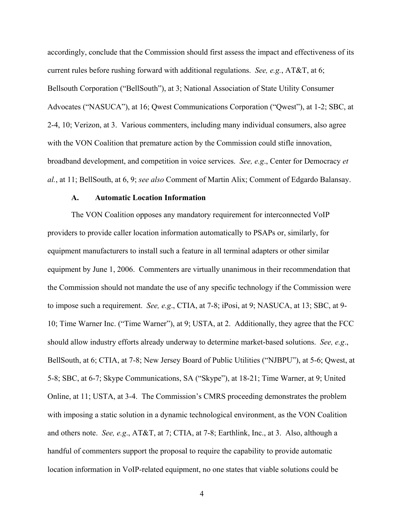accordingly, conclude that the Commission should first assess the impact and effectiveness of its current rules before rushing forward with additional regulations. *See, e.g.*, AT&T, at 6; Bellsouth Corporation ("BellSouth"), at 3; National Association of State Utility Consumer Advocates ("NASUCA"), at 16; Qwest Communications Corporation ("Qwest"), at 1-2; SBC, at 2-4, 10; Verizon, at 3. Various commenters, including many individual consumers, also agree with the VON Coalition that premature action by the Commission could stifle innovation, broadband development, and competition in voice services. *See, e.g*., Center for Democracy *et al.*, at 11; BellSouth, at 6, 9; *see also* Comment of Martin Alix; Comment of Edgardo Balansay.

#### **A. Automatic Location Information**

The VON Coalition opposes any mandatory requirement for interconnected VoIP providers to provide caller location information automatically to PSAPs or, similarly, for equipment manufacturers to install such a feature in all terminal adapters or other similar equipment by June 1, 2006. Commenters are virtually unanimous in their recommendation that the Commission should not mandate the use of any specific technology if the Commission were to impose such a requirement. *See, e.g*., CTIA, at 7-8; iPosi, at 9; NASUCA, at 13; SBC, at 9- 10; Time Warner Inc. ("Time Warner"), at 9; USTA, at 2. Additionally, they agree that the FCC should allow industry efforts already underway to determine market-based solutions. *See, e.g*., BellSouth, at 6; CTIA, at 7-8; New Jersey Board of Public Utilities ("NJBPU"), at 5-6; Qwest, at 5-8; SBC, at 6-7; Skype Communications, SA ("Skype"), at 18-21; Time Warner, at 9; United Online, at 11; USTA, at 3-4. The Commission's CMRS proceeding demonstrates the problem with imposing a static solution in a dynamic technological environment, as the VON Coalition and others note. *See, e.g*., AT&T, at 7; CTIA, at 7-8; Earthlink, Inc., at 3. Also, although a handful of commenters support the proposal to require the capability to provide automatic location information in VoIP-related equipment, no one states that viable solutions could be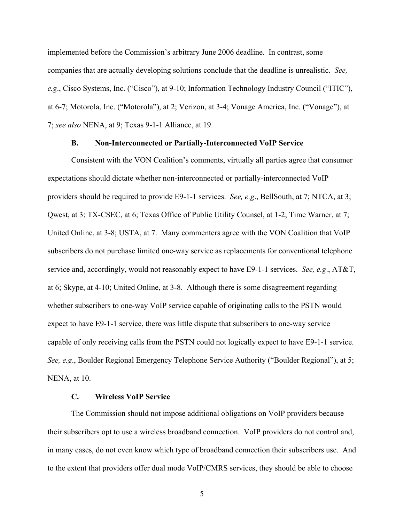implemented before the Commission's arbitrary June 2006 deadline. In contrast, some companies that are actually developing solutions conclude that the deadline is unrealistic. *See, e.g*., Cisco Systems, Inc. ("Cisco"), at 9-10; Information Technology Industry Council ("ITIC"), at 6-7; Motorola, Inc. ("Motorola"), at 2; Verizon, at 3-4; Vonage America, Inc. ("Vonage"), at 7; *see also* NENA, at 9; Texas 9-1-1 Alliance, at 19.

#### **B. Non-Interconnected or Partially-Interconnected VoIP Service**

Consistent with the VON Coalition's comments, virtually all parties agree that consumer expectations should dictate whether non-interconnected or partially-interconnected VoIP providers should be required to provide E9-1-1 services. *See, e.g*., BellSouth, at 7; NTCA, at 3; Qwest, at 3; TX-CSEC, at 6; Texas Office of Public Utility Counsel, at 1-2; Time Warner, at 7; United Online, at 3-8; USTA, at 7. Many commenters agree with the VON Coalition that VoIP subscribers do not purchase limited one-way service as replacements for conventional telephone service and, accordingly, would not reasonably expect to have E9-1-1 services. *See, e.g*., AT&T, at 6; Skype, at 4-10; United Online, at 3-8. Although there is some disagreement regarding whether subscribers to one-way VoIP service capable of originating calls to the PSTN would expect to have E9-1-1 service, there was little dispute that subscribers to one-way service capable of only receiving calls from the PSTN could not logically expect to have E9-1-1 service. *See, e.g*., Boulder Regional Emergency Telephone Service Authority ("Boulder Regional"), at 5; NENA, at 10.

### **C. Wireless VoIP Service**

The Commission should not impose additional obligations on VoIP providers because their subscribers opt to use a wireless broadband connection. VoIP providers do not control and, in many cases, do not even know which type of broadband connection their subscribers use. And to the extent that providers offer dual mode VoIP/CMRS services, they should be able to choose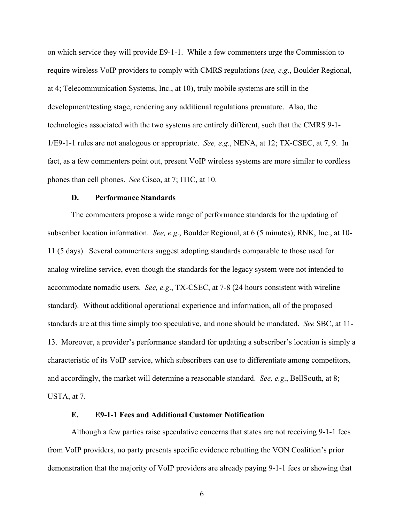on which service they will provide E9-1-1. While a few commenters urge the Commission to require wireless VoIP providers to comply with CMRS regulations (*see, e.g*., Boulder Regional, at 4; Telecommunication Systems, Inc., at 10), truly mobile systems are still in the development/testing stage, rendering any additional regulations premature. Also, the technologies associated with the two systems are entirely different, such that the CMRS 9-1- 1/E9-1-1 rules are not analogous or appropriate. *See, e.g*., NENA, at 12; TX-CSEC, at 7, 9. In fact, as a few commenters point out, present VoIP wireless systems are more similar to cordless phones than cell phones. *See* Cisco, at 7; ITIC, at 10.

### **D. Performance Standards**

The commenters propose a wide range of performance standards for the updating of subscriber location information. *See, e.g*., Boulder Regional, at 6 (5 minutes); RNK, Inc., at 10- 11 (5 days). Several commenters suggest adopting standards comparable to those used for analog wireline service, even though the standards for the legacy system were not intended to accommodate nomadic users. *See, e.g*., TX-CSEC, at 7-8 (24 hours consistent with wireline standard). Without additional operational experience and information, all of the proposed standards are at this time simply too speculative, and none should be mandated. *See* SBC, at 11- 13. Moreover, a provider's performance standard for updating a subscriber's location is simply a characteristic of its VoIP service, which subscribers can use to differentiate among competitors, and accordingly, the market will determine a reasonable standard. *See, e.g*., BellSouth, at 8; USTA, at 7.

### **E. E9-1-1 Fees and Additional Customer Notification**

Although a few parties raise speculative concerns that states are not receiving 9-1-1 fees from VoIP providers, no party presents specific evidence rebutting the VON Coalition's prior demonstration that the majority of VoIP providers are already paying 9-1-1 fees or showing that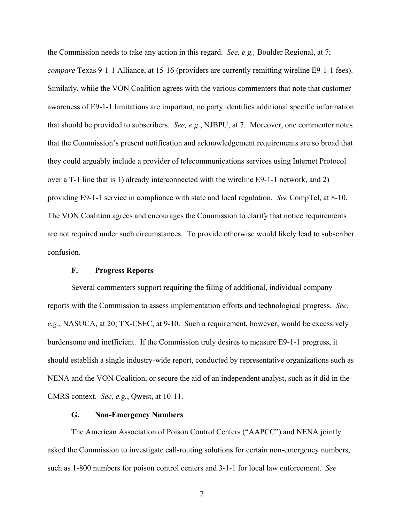the Commission needs to take any action in this regard. *See, e.g.,* Boulder Regional, at 7; *compare* Texas 9-1-1 Alliance, at 15-16 (providers are currently remitting wireline E9-1-1 fees). Similarly, while the VON Coalition agrees with the various commenters that note that customer awareness of E9-1-1 limitations are important, no party identifies additional specific information that should be provided to subscribers. *See, e.g*., NJBPU, at 7. Moreover, one commenter notes that the Commission's present notification and acknowledgement requirements are so broad that they could arguably include a provider of telecommunications services using Internet Protocol over a T-1 line that is 1) already interconnected with the wireline E9-1-1 network, and 2) providing E9-1-1 service in compliance with state and local regulation. *See* CompTel, at 8-10. The VON Coalition agrees and encourages the Commission to clarify that notice requirements are not required under such circumstances. To provide otherwise would likely lead to subscriber confusion.

#### **F. Progress Reports**

Several commenters support requiring the filing of additional, individual company reports with the Commission to assess implementation efforts and technological progress. *See, e.g*., NASUCA, at 20; TX-CSEC, at 9-10. Such a requirement, however, would be excessively burdensome and inefficient. If the Commission truly desires to measure E9-1-1 progress, it should establish a single industry-wide report, conducted by representative organizations such as NENA and the VON Coalition, or secure the aid of an independent analyst, such as it did in the CMRS context. *See, e.g.*, Qwest, at 10-11.

### **G. Non-Emergency Numbers**

The American Association of Poison Control Centers ("AAPCC") and NENA jointly asked the Commission to investigate call-routing solutions for certain non-emergency numbers, such as 1-800 numbers for poison control centers and 3-1-1 for local law enforcement. *See*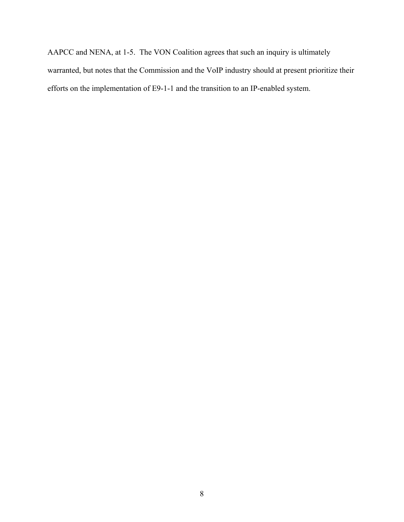AAPCC and NENA, at 1-5. The VON Coalition agrees that such an inquiry is ultimately warranted, but notes that the Commission and the VoIP industry should at present prioritize their efforts on the implementation of E9-1-1 and the transition to an IP-enabled system.